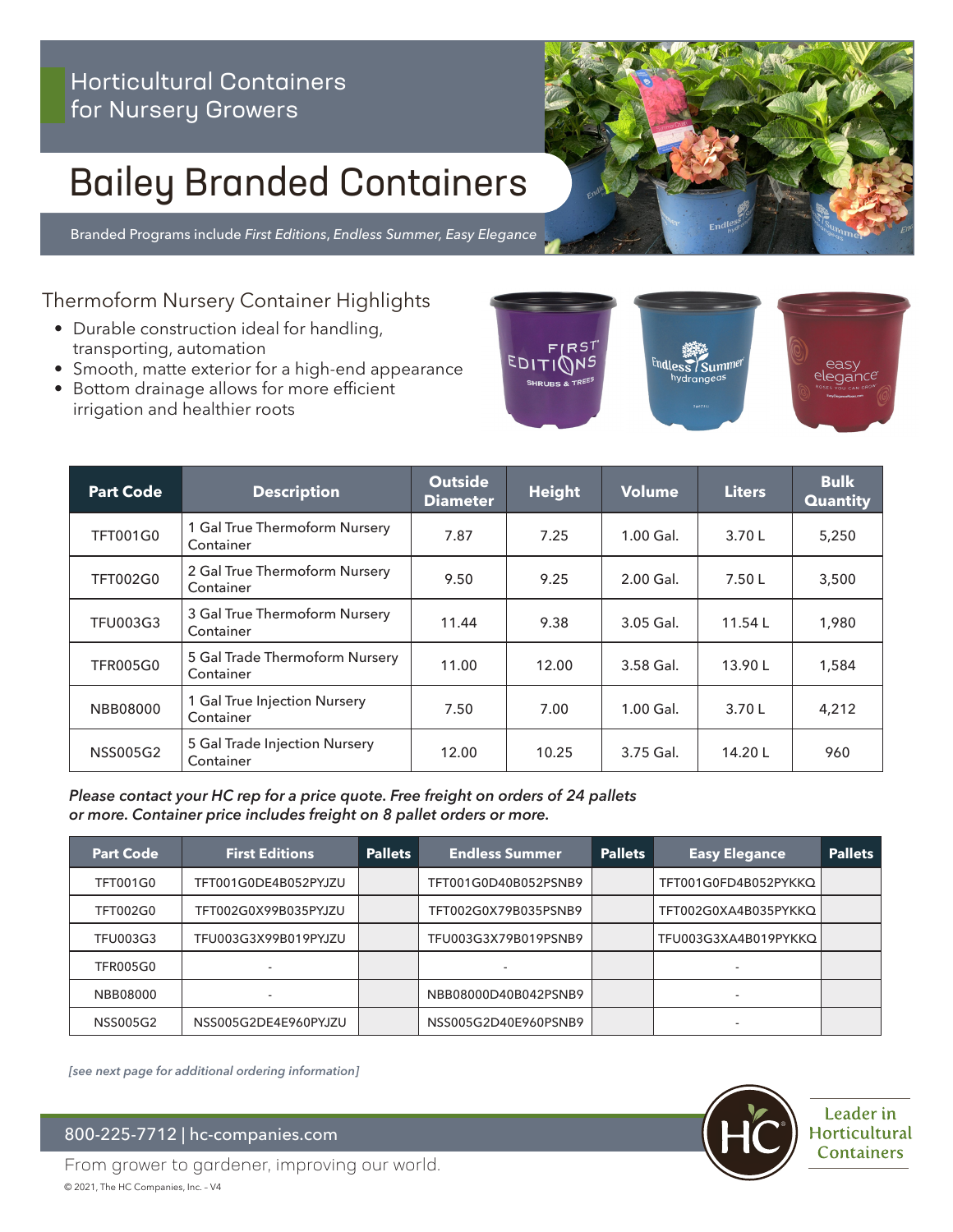### Horticultural Containers for Nursery Growers

# Bailey Branded Containers

Branded Programs include *First Editions*, *Endless Summer, Easy Elegance*

Thermoform Nursery Container Highlights

- Durable construction ideal for handling, transporting, automation
- Smooth, matte exterior for a high-end appearance
- Bottom drainage allows for more efficient irrigation and healthier roots



| <b>Part Code</b> | <b>Description</b>                          | <b>Outside</b><br><b>Diameter</b> | <b>Height</b> | <b>Volume</b> | <b>Liters</b> | <b>Bulk</b><br><b>Quantity</b> |
|------------------|---------------------------------------------|-----------------------------------|---------------|---------------|---------------|--------------------------------|
| <b>TFT001G0</b>  | 1 Gal True Thermoform Nursery<br>Container  | 7.87                              | 7.25          | $1.00$ Gal.   | 3.70 L        | 5,250                          |
| <b>TFT002G0</b>  | 2 Gal True Thermoform Nursery<br>Container  | 9.50                              | 9.25          | $2.00$ Gal.   | 7.50L         | 3,500                          |
| <b>TFU003G3</b>  | 3 Gal True Thermoform Nursery<br>Container  | 11.44                             | 9.38          | 3.05 Gal.     | 11.54L        | 1,980                          |
| <b>TFR005G0</b>  | 5 Gal Trade Thermoform Nursery<br>Container | 11.00                             | 12.00         | 3.58 Gal.     | 13.90L        | 1,584                          |
| <b>NBB08000</b>  | 1 Gal True Injection Nursery<br>Container   | 7.50                              | 7.00          | $1.00$ Gal.   | 3.70L         | 4,212                          |
| <b>NSS005G2</b>  | 5 Gal Trade Injection Nursery<br>Container  | 12.00                             | 10.25         | 3.75 Gal.     | 14.20 L       | 960                            |

#### *Please contact your HC rep for a price quote. Free freight on orders of 24 pallets or more. Container price includes freight on 8 pallet orders or more.*

| <b>Part Code</b> | <b>First Editions</b>    | <b>Pallets</b> | <b>Endless Summer</b> | <b>Pallets</b> | <b>Easy Elegance</b>     | <b>Pallets</b> |
|------------------|--------------------------|----------------|-----------------------|----------------|--------------------------|----------------|
| <b>TFT001G0</b>  | TFT001G0DE4B052PYJZU     |                | TFT001G0D40B052PSNB9  |                | TFT001G0FD4B052PYKKQ     |                |
| <b>TFT002G0</b>  | TFT002G0X99B035PYJZU     |                | TFT002G0X79B035PSNB9  |                | TFT002G0XA4B035PYKKQ     |                |
| <b>TFU003G3</b>  | TFU003G3X99B019PYJZU     |                | TFU003G3X79B019PSNB9  |                | TFU003G3XA4B019PYKKQ     |                |
| <b>TFR005G0</b>  |                          |                |                       |                | -                        |                |
| NBB08000         | $\overline{\phantom{a}}$ |                | NBB08000D40B042PSNB9  |                | $\overline{\phantom{a}}$ |                |
| <b>NSS005G2</b>  | NSS005G2DE4E960PYJZU     |                | NSS005G2D40E960PSNB9  |                |                          |                |

*[see next page for additional ordering information]*

800-225-7712 | hc-companies.com



From grower to gardener, improving our world. © 2021, The HC Companies, Inc. – V4